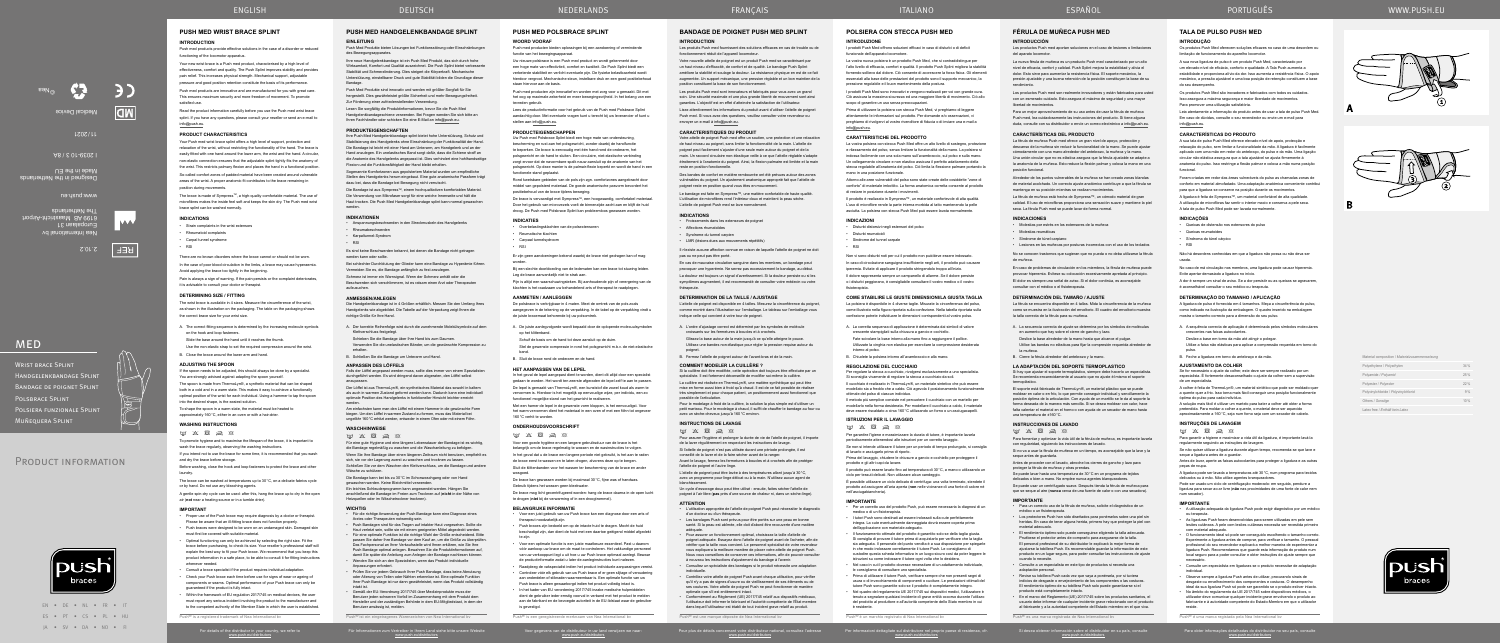EN • DE • NL • FR • IT ES • PT • CS • PL • HU JA • SV • DA • NO • FI

PRODUCT INFORMATION

**MED** 

WRIST BRACE SPLINT

POLSBRACE SPLINT

**MUÑEQUERA SPLINT** 

www.push.eu/distributors

Für Informationen zum Vertreiber in Ihrem Land siehe bitte unsere Website Voor gegevens van de distributeur in uw land verwijzen we naar: www.push.eu/distributors Pour plus de détails concernant votre distributeur national, consultez l'adresse www.push.eu/distributors

Per informazioni dettagliate sul distributore nel proprio paese di residenza, cfr. www.push.eu/distributors

Si desea obtener información sobre el distribuidor en su país, consulte www.push.eu/distributors

# **BANDAGE DE POIGNET PUSH MED SPLINT**

# **INTRODUCTION**

Les produits Push med fournissent des solutions efficaces en cas de trouble ou de fonctionnement réduit de l'appareil locomoteur.

Votre attelle de poignet Push med offre un soutien, une protection et une relaxation de haut niveau au poignet, sans limiter la fonctionnalité de la main. L'attelle de poignet peut facilement s'ajuster d'une seule main autour du poignet et de la main. Un raccord circulaire non-élastique veille à ce que l'attelle réglable s'a étroitement à l'anatomie du poignet. Ainsi, la flexion palmaire est limitée et la main reste en position fonction

Votre nouvelle attelle de poignet est un produit Push med se caractérisant par un haut niveau d'efficacité, de confort et de qualité. Le bandage Push Splint améliore la stabilité et soulage la douleur. La résistance physique en est de ce fait augmentée. Un support mécanique, une pression réglable et un bon maintien de la position constituent la base de son fonctionnement.

Le bandage est faite en Sympress™, une matière confortable de haute qualité. L'utilisation de microfibres rend l'intérieur doux et maintient la peau sèche. L'attelle de poignet Push med se lave normalement

Les produits Push med sont innovateurs et fabriqués pour vous avec un grand soin. Une sécurité maximale et une plus grande liberté de mouvement sont ainsi garanties. L'objectif est en effet d'atteindre la satisfaction de l'utilisateur.

Lisez attentivement les informations du produit avant d'utiliser l'attelle de poignet Push med. Si vous avez des questions, veuillez consulter votre revendeur ou envoyer un e-mail à info@push.eu.

# **CARACTERISTIQUES DU PRODUIT**

Des bandes de confort en matière rembourrée ont été prévues autour des zones vulnérables du poignet. Un ajustement anatomique approprié fait que l'attelle de poignet reste en position quand vous êtes en mouvement.

#### **INDICATIONS**

• Froissements dans les extenseurs de poignet

• Affections rhumatoïdes

• Syndrome du tunnel carpien • LMR (lésions dues aux mouvements répétitifs)

Il n'existe aucune affection connue en raison de laquelle l'attelle de poignet ne doit pas ou ne peut pas être porté.

En cas de mauvaise circulation sanguine dans les membres, un bandage peut provoquer une hyperémie. Ne serrez pas excessivement le bandage, au début. La douleur est toujours un signal d'avertissement. Si la douleur persiste ou si les

symptômes augmentent, il est recommandé de consulter votre médecin ou votre thérapeute.

# **DETERMINATION DE LA TAILLE / AJUSTAGE**

L'attelle de poignet est disponible en 4 tailles. Mesurez la circonférence du poignet, comme montré dans l'illustration sur l'emballage. Le tableau sur l'emballage vous indique celle qui convient à votre tour de poignet.

A. L'ordre d'ajustage correct est déterminé par les symboles de molécule croissants sur les fermetures à boucles et à crochets. Glissez la base autour de la main jusqu'à ce qu'elle atteigne le pouce.

Utilisez une bandes non-élastique pour régler la pression requise autour du poignet.

B. Fermez l'attelle de poignet autour de l'avant-bras et de la main.

#### **COMMENT MODELER LA CUILLÈRE ?**

Si la cuillère doit être modifiée, cette opération doit toujours être effectuée par un spécialiste. Il est fortement déconseillé de modifier soi-même la cuillère. La cuillère est réalisée en ThermoLyn ®, une matière synthétique qui peut être mise en forme aussi bien à froid qu'à chaud. Il est de ce fait possible de réaliser très simplement et pour chaque patient, un positionnement aussi fonctionnel que possible de l'articulation.

Pour le modelage à froid de la cuillère, la solution la plus simple est d'utiliser un petit marteau. Pour le modelage à chaud, il suffit de chauffer le bandage au four ou avec un sèche-cheveux jusqu'à 160°C environ.

### **INSTRUCTIONS DE LAVAGE**

### $\boxtimes \hspace{0.1cm} \boxtimes \hspace{0.1cm} \boxtimes \hspace{0.1cm} \boxtimes \hspace{0.1cm} \boxtimes \hspace{0.1cm} \boxtimes \hspace{0.1cm} \boxtimes$

Pour assurer l'hygiène et prolonger la durée de vie de l'atelle de poignet, il importe de la laver régulièrement en respectant les instructions de lavage. Si l'attelle de poignet n'est pas utilisée durant une période prolongée, il est

conseillé de la laver et de la faire sécher avant de la ranger. Avant le lavage, fermez les fermetures à boucles et à crochets afin de protéger

l'attelle de poignet et l'autre linge. L'attelle de poignet peut être lavée à des températures allant jusqu'à 30°C,

avec un programme pour linge délicat ou à la main. N'utilisez aucun agent de blanchissement.

Un cycle d'essorage doux peut être utilisé : ensuite, faites sécher l'attelle de poignet à l'air libre (**pas** près d'une source de chaleur ni, dans un sèche-linge).

### **ATTENTION**

• L'utilisation appropriée de l'attelle de poignet Push peut nécessiter le diagnostic d'un docteur ou d'un thérapeute.

• Les bandages Push sont prévus pour être portés sur une peau en bonne santé. Si la peau est abîmée, elle doit d'abord être recouverte d'une matière adéquate.

Die Bandage ist aus Sympress™, einem hochqualitativen komfortablen Materia Die Verwendung von Mikrofaser sorgt für eine weiche Innenseite und hält die Haut trocken. Die Push Med Handgelenkbandage splint kann normal gewaschen werden.

> • Pour assurer un fonctionnement optimal, choisissez la taille d'attelle de poignet adéquate. Essayez donc l'attelle de poignet avant de l'acheter, afin de vérifier que la taille vous convient. Le personnel spécialisé de votre revende vous expliquera la meilleure manière de placer votre attelle de poignet Push. Nous vous conseillons de conserver ces informations, afin de pouvoir consulter à nouveau les instructions d'ajustement du bandage à l'avenir.

Vermeiden Sie es, die Bandage anfänglich zu fest anzulegen. Schmerz ist immer ein Warnsignal. Wenn der Schmerz anhält oder die Beschwerden sich verschlimmern, ist es ratsam einen Arzt oder Therapeuten

> • Consultez un spécialiste des bandages si le produit nécessite une adaptation individuelle. • Contrôlez votre attelle de poignet Push avant chaque utilisation, pour vérifier

qu'il n'y a pas de signes d'usure ou de vieillissement de ses éléments ou de ses coutures. Votre attelle de poignet Push ne peut fonctionner de manière optimale que s'il est entièrement intact.

• Conformément au Règlement (UE) 2017/745 relatif aux dispositifs médicaux, l'utilisateur doit informer le fabricant et l'autorité compétente de l'État membre dans lequel l'utilisateur est établi de tout incident grave relatif au produit.

 $P_{\text{ueb}}$  $R_{\text{a}et \text{una} m}$ 

A. Der korrekte Reihenfolge wird durch die zunehmende Molekülsymbole auf dem Klettverschluss festgelegt.

Schieben Sie die Bandage über Ihre Hand bis zum Daumen. Verwenden Sie die unelastischen Bänder, um die gewünschte Kompression zu erhalten.

B. Schließen Sie die Bandage um Unterarm und Hand.

### **ANPASSEN DES LÖFFELS**

Falls der Löffel angepasst werden muss, sollte dies immer von einem Spezialisten durchgeführt werden. Es wird dringend davon abgeraten, den Löffel selbst anzupassen.

Der Löffel ist aus ThermoLyn ®, ein synthetisches Material das sowohl in kaltem als auch in warmen Zustand geformt werden kann. Dadurch kann eine individuell optimale Position des Handgelenks in funktioneller Hinsicht leichter erreicht werden.

Am einfachsten kann man den Löffel mit einem Hammer in die gewünschte Form biegen. Um den Löffel in warmen Zustand zu formen, muss das Material bei ungefähr 160°C erhitzt werden, entweder in einem Ofen oder mit einem Föhn.

# **WASCHHINWEISE**

# $M$   $X$   $\overline{R}$   $\rightarrow$   $\alpha$

una temperatura de ±160°C. **INSTRUCCIONES DE LAVADO**  $\label{eq:3.10} \boxed{\underline{\omega}} \quad \times \quad \boxed{\boxtimes} \quad \text{and} \quad \text{and} \quad$ 

Für eine gute Hygiene und eine längere Lebensdauer der Bandage ist es wichtig, die Bandage regelmäßig zu waschen und die Waschanleitung zu befolgen. Wenn Sie Ihre Bandage über einen längeren Zeitraum nicht benutzen, empfiehlt es sich, sie vor der Lagerung zuerst zu waschen und trocknen zu lassen. Schließen Sie vor dem Waschen den Klettverschluss, um die Bandage und andere Wäsche zu schützen.

Se puede lavar hasta una temperatura de 30°C en un programa de tejidos lelicados o bien a mano. No emplee nunca agentes blanque

Die Bandage kann bei bis zu 30°C im Schonwaschgang oder von Hand gewaschen werden. Keine Bleichmittel verwenden.

Ein leichtes Schleuderprogramm kann angewendet werden. Hängen Sie anschließend die Bandage im Freien zum Trocknen auf (**nicht** in der Nähe von Heizquellen oder im Wäschetrockner trocknen).

# **WICHTIG**

### • Für die richtige Anwendung der Push Bandage kann eine Diagnose eines

- Arztes oder Therapeuten notwendig sein. • Push Bandagen sind für das Tragen auf intakter Haut vorgesehen. Sollte die
- Haut verletzt sein, sollte sie mit einem geeigneten Mittel abgedeckt werden. • Für eine optimale Funktion ist die richtige Wahl der Größe entscheidend. Bitte
- passen Sie daher Ihre Bandage vor dem Kauf an, um die Größe zu überprüfen. Das Fachpersonal an Ihrer Verkaufsstelle wird Ihnen erklären, wie Sie Ihre Push Bandage optimal anlegen. Bewahren Sie die Produktinfo damit Sie später die Anleitung zum Anlegen der Bandage nachlesen können. • Wenden Sie sich an den Spezialisten, wenn das Produkt individuelle
- Anpassungen erfordert. • Prüfen Sie vor jedem Gebrauch Ihrer Push Bandage, dass keine Abnutzung
- oder Alterung von Teilen oder Nähten erkennbar ist. Eine optimale Funktion Ihrer Push Bandage ist nur dann gewährleistet, wenn das Produkt vollständig intakt ist.
- Gemäß der EU-Verordnung 2017/745 über Medizinprodukte muss der Benutzer jeden schweren Vorfall im Zusammenhang mit dem Produkt dem Hersteller und der zuständigen Behörde in dem EU-Mitgliedstaat, in dem der Benutzer ansässig ist, melden.

 $P_{\text{ueb}}$ ® ist ein eingetragene

So-called comfort zones of padded material have been created around vulnerable areas of the wrist. A proper anatomic fit contributes to the brace remaining in position during movement

# **PUSH MED HANDGELENKBANDAGE SPLINT EINLEITUNG** Push Med Produkte bieten Lösungen bei Funktionsstörung oder Einschränkungen

The brace is made of Sympress™, a high-quality comfortable material. The use of microfibres makes the inside feel soft and keeps the skin dry. The Push med wrist brace splint can be washed normally.

- Carpal tunnel syndrom
- RSI

There are no known disorders where the brace cannot or should not be worn.

In the case of poor blood circulation in the limbs, a brace may cause hyperaemia. Avoid applying the brace too tightly in the beginning.

des Bewegungsapparates. Ihre neue Handgelenkbandage ist ein Push Med Produkt, das sich durch hohe irksamkeit. Komfort und Qualität auszeichnet. Die Push Splint bietet verbessert Stabilität und Schmerzlinderung. Dies steigert die Körperkraft. Mechanische Unterstützung, einstellbarer Druck und gute Stabilität bilden die Grundlage dieser Bandage.

Push Med Produkte sind innovativ und werden mit größter Sorgfalt für Sie hergestellt. Dies gewährleistet größte Sicherheit und mehr Bewegungsfreiheit. Zur Förderung einer zufriedenstellenden Verwendung.

If the spoon needs to be adjusted, this should always be done by a specialist. You are strongly advised against adapting the spoon yourself

Lesen Sie sorgfältig die Produktinformationen, bevor Sie die Push Med Handgelenkbandageschiene verwenden. Bei Fragen wenden Sie sich bitte an Ihren Fachhändler oder schicken Sie eine E-Mail an info@push.eu.

**WASHING INSTRUCTIONS**  $m \times R \geq N$ 

### **PRODUKTEIGENSCHAFTEN**

Ihre Push Med Handgelenkbandage splint bietet hohe Unterstützung, Schutz und Stabilisierung des Handgelenks ohne Einschränkung der Funktionalität der Hand. Die Bandage ist leicht mit einer Hand am Unterarm, am Handgelenk und an der Hand anzulegen. Ein unelastisches Band sorgt dafür, dass die Schiene straff an die Anatomie des Handgelenks angepasst ist. Dies verhindert eine hohlhandseitige Flexion und die Funktionsfähigkeit der Hand bleibt erhalten.

Sogenannte Komfortzonen aus gepolstertem Material wurden um empfindliche Stellen des Handgelenks herum eingebaut. Eine gute anatomische Passform trägt dazu bei, dass die Bandage bei Bewegung nicht verrutscht.

#### **INDIKATIONEN**

- Anspannungsbeschwerden in den Streckmuskeln des Handgelenks
- Rheumabeschwerden

• Karpaltunnel-Syndrom • RSI

Es sind keine Beschwerden bekannt, bei denen die Bandage nicht getragen erden kann oder sollte. Bei schlechter Durchblutung der Glieder kann eine Bandage zu Hyperämie führen.

Uw Push med Polsbrace Splint biedt een hoge mate van ondersteuning, bescherming en rust aan het polsgewricht, zonder daarbij de handfunctie te beperken. De brace is eenvoudig met één hand rond de onderarm, het en<br>Isgewricht en de hand te sluiten. Een circulaire, niet-elastische verbinding zorgt ervoor dat de navormbare spalk nauw aansluit op de anatomie van het polsgewricht. Op deze manier is de palmair-flexie beperkt en wordt de hand in een unctionele stand geplaatst

aufzusuchen.

#### **ANMESSEN/ANLEGEN**

Die Handgelenkbandage ist in 4 Größen erhältlich. Messen Sie den Umfang Ihres Handgelenks wie abgebildet. Die Tabelle auf der Verpackung zeigt Ihnen die richtige Größe für Ihre Hand.

# **FÉRULA DE MUÑECA PUSH MED**

**INTRODUCCIÓN** Los productos Push med aportan soluciones en el caso de lesiones o limitaciones

del aparato locomotor. La nueva férula de muñeca es un producto Push med caracterizado por un alto

De brace is vervaardigd met Sympress™, een hoogwaardig, comfortabel materiaal. Door het gebruik van microvezels voelt de binnenzijde zacht aan en blijft de huid droog. De Push med Polsbrace Splint kan probleemloos gewassen worden.

nivel de eficacia, confort y calidad. Push Splint mejora la estabilidad y alivia el dolor. Esto sirve para aumentar la resistencia física. El soporte mecánico, la presión ajustable y una buena retención de la posición constituyen la base de su rendimiento.

Los productos Push med son realmente innovadores y están fabricados para usted con un esmerado cuidado. Esto asegura el máximo de seguridad y una mayor libertad de movimientos.

**HET AANPASSEN VAN DE LEPEL** In het geval de lepel aangepast dient te worden, dient dit altijd door een specialist gedaan te worden. Het wordt ten zeerste afgeraden de lepel zelf te aan te passen. De lepel is gemaakt van ThermoLyn ®, een kunststof die zowel koud als warm te vervormen is. Hierdoor is het mogelijk op eenvoudige wijze, per individu, een zo functioneel mogelijke stand van het gewricht te realisere

Para un mejor aprovechamiento de su uso antes de usar la férula de muñeca Push med, lea cuidadosamente las instrucciones del producto. Si tiene alguna duda, consulte con su distribuidor o envíe un correo electrónico a info@push.eu.

#### **CARACTERÍSTICAS DEL PRODUCTO**

La férula de muñeca Push med ofrece un gran nivel de apoyo, protección y descanso de la muñeca sin reducir la funcionalidad de la mano. Se puede ajustar cómodamente con una mano alrededor del antebrazo, la muñeca y la mano. Una unión circular que no es elástica asegura que la férula ajustable se adapte a la anatomía de la muñeca. Esto reduce la flexión palmar y coloca la mano en una posición funcional.

De brace mag licht gecentrifugeerd worden: hang de brace daarna in de open lucht te drogen (niet bij de verwarming of in een droogtromme

Alrededor de los puntos vulnerables de la muñeca se han creado zonas blandas de material acolchado. Un correcto ajuste anatómico contribuye a que la férula se mantenga en su posición mientras se realizan movimientos.

La férula de muñeca está hecha de Sympress™, un cómodo material de gran calidad. El uso de microfibras proporciona una sensación suave y mantiene la piel seca. La férula Push med se puede lavar de forma normal.

#### **INDICACIONES**

- Molestias por estrés en los extensores de la muñeca
- Molestias reumáticas
- Síndrome de túnel carpiano • Lesiones en las muñecas por posturas incorrectas con el uso de los teclados

No se conocen trastornos que sugieran que no pueda o no deba utilizarse la férula

de muñeca.

En caso de problemas de circulación en los miembros, la férula de muñeca puede provocar hiperemia. Evítese su colocación excesivamente apretada al principio. El dolor es siempre una señal de aviso. Si el dolor continúa, es aconsejable

consultar con el médico o el fisioterapeuta.

I prodotti Push Med sono innovativi e vengono realizzati per voi con grande cur Ciò assicura la massima sicurezza ed una maggiore libertà di movimento. Ciò allo scopo di garantire un uso senza preoccupazioni.

**DETERMINACIÓN DEL TAMAÑO / AJUSTE**

La férula se encuentra disponible en 4 tallas. Mida la circunferencia de la muñeca como se muestra en la ilustración del envoltorio. El cuadro del envoltorio muestra

la talla correcta de la férula para su muñeca.

A. La secuencia correcta de ajuste se determina por los símbolos de moléculas

en aumento que hay sobre el cierre de gancho y lazo. Deslice la base alrededor de la mano hasta que alcance el pulgar. Utilice las bandas no elásticas para fijar la compresión requerida alrededor de

la muñeca.

B. Cierre la férula alrededor del antebrazo y la mano. **LA ADAPTACIÓN DEL SOPORTE TERMOPLASTICO**

Si hay que ajustar el soporte termoplástico, siempre debe hacerlo un especialista. Se recomienda encarecidamente al usuario que no ajuste él mismo el soporte

termoplástico.

El soporte está fabricado de ThermoLyn ®, un material plástico que se puede moldear en calor o en frío, lo que permite conseguir individual y sencillamente la posición óptima de la articulación. Con ayuda de un martillo se le da al soporte la forma deseada de la manera más sencilla. Si se desea moldear con calor, hace falta calentar el material en el horno o con ayuda de un secador de mano hasta

modellato sia a freddo che a caldo. Ciò agevola il posizionamento funzionalmente ottimale del polso di ciascun individuo. Il metodo più semplice consiste nel percuotere il cucchiaio con un martello pe

Para fomentar y optimizar la vida útil de la férula de muñeca, es importante lavarla

con regularidad, siguiendo las instrucciones de lavado.

Si no va a usar la férula de muñeca en un tiempo, es aconsejable que la lave y la

seque antes de guardarla.

Antes de proceder con el lavado, abroche los cierres de gancho y lazo para

proteger la férula de muñeca y otras prendas.

Se puede usar un centrifugado suave. Después tienda la férula de muñeca para que se seque al aire (**nunca** cerca de una fuente de calor o con una secadora).

**IMPORTANTE**

• Para un correcto uso de la férula de muñeca, solicite el diagnóstico de un

médico o un fisioterapeuta.

• Los protectores Push han sido diseñados para ponérselos sobre una piel sin heridas. En caso de tener alguna herida, primero hay que proteger la piel con

material adecuado.

• El rendimiento óptimo solo puede conseguirse eligiendo la talla adecuada. Pruébese el protector antes de comprarlo para asegurarse de la talla. El personal profesional de su distribuidor le explicará la mejor forma de ajustarse la tobillera Push. Es recomendable guardar la información de este producto en un lugar seguro, para poder consultar las instrucciones de ajuste

cuando lo necesite.

• Consulte a un especialista en este tipo de productos si necesita una

adaptación personal.

 $P_{\text{ue}}$ h $R_{\text{ee}}$  una marca

• Revise su tobillera Push cada vez que vaya a ponérsela, por si tuviera indicios de desgaste o envejecimiento de los componentes o las costuras. El rendimiento óptimo de su tobillera Push solo puede garantizarse si el

producto está completamente intacto.

• En el marco del Reglamento (UE) 2017/745 sobre los productos sanitarios, el usuario debe informar de cualquier incidente grave relacionado con el producto al fabricante y a la autoridad competente del Estado miembro en el que viva.

Para obter informações detalhadas do distribuidor no seu país, consulte<br>www.push.eu/distributors

Push<sup>®</sup> é uma marca registada pela Nea International b

Handgelenkbandage Splint Bandage de poignet Splint

Polsiera funzionale Splint

Foram criadas em redor das áreas vulneráveis do pulso as chamadas zonas d conforto em material almofadado. Uma adaptação anatómica conveniente contribui para que a ligadura se conserve na posição durante os movimentos. A ligadura é feita de Sympress™, um material confortável de alta qualidade. A utilização de microfibras faz sentir o interior macio e conserva a pele seca.

**PUSH MED WRIST BRACE SPLINT**

**INTRODUCTION**

Push med products provide effective solutions in the case of a disorder or reduced

effectiveness, comfort and quality. The Push Splint improves stability and provides pain relief. This increases physical strength. Mechanical support, adjustable pressure and good position retention constitute the basis of its performance.

Push med products are innovative and are manufactured for you with great care. This ensures maximum security and more freedom of movement. To promote satisfied use.

Read the product information carefully before you use the Push med wrist brace splint. If you have any questions, please consult your reseller or send an e-mail to info@push.eu.

#### **PRODUCT CHARACTERISTICS**

**INSTRUÇÕES DE LAVAGEM**  $W$   $X$   $\boxtimes$   $\cong$   $\otimes$ 

Your Push med wrist brace splint offers a high level of support, protection and relaxation of the wrist, without restricting the functionality of the hand. The brace is easily fitted with one hand around the lower arm, the wrist and the hand. A circular non-elastic connection ensures that the adjustable splint tightly fits the anatomy of the wrist. This restricts palmary flexion and places the hand in a functional position.

### **INDICATIONS**

Strain complaints in the wrist extensors

Rheumatoid complaint

Pain is always a sign of warning. If the pain persists or the complaint deteriorates, it is advisable to consult your doctor or therapist.

#### **DETERMINING SIZE / FITTING**

The wrist brace is available in 4 sizes. Measure the circumference of the wrist, as shown in the illustration on the packaging. The table on the packaging shows the correct brace size for your wrist size.

A. The correct fitting sequence is determined by the increasing molecule symbols on the hook and loop fasteners.

Slide the base around the hand until it reaches the thumb.

Use the non-elastic strap to set the required compression around the wrist.

B. Close the brace around the lower arm and hand.

into the desired shape, is the easiest solution.

For details of the distributor in your country, we refer to<br>www.push.eu/distributors

**ADJUSTING THE SPOON**

The spoon is made from ThermoLyn®, a synthetic material that can be shaped both in a cold and in a warm state. This makes it easy to achieve a functionally optimal position of the wrist for each individual. Using a hammer to tap the spoon

To shape the spoon in a warm state, the material must be heated to approximately 160°C, either in an oven or with a hair-drier.

wash the brace regularly, observing the washing instructions.

To promote hygiene and to maximise the lifespan of the brace, it is important to

If you intend not to use the brace for some time, it is recommended that you wash

and dry the brace before storage.

Before washing, close the hook and loop fasteners to protect the brace and other

laundry.

The brace can be washed at temperatures up to 30°C, on a delicate fabrics cycle

or by hand. Do not use any bleaching agents.

A gentle spin-dry cycle can be used: after this, hang the brace up to dry in the open

air (**not** near a heating source or in a tumble drier).

**IMPORTANT**

• Proper use of the Push brace may require diagnosis by a doctor or therapist. Please be aware that an ill-fitting brace does not function properly. • Push braces were designed to be worn on an undamaged skin. Damaged skin

must first be covered with suitable material.

guaranteed if the product is fully intac

Push<sup>®</sup> is a registered trademark of Nea International bv

• Optimal functioning can only be achieved by selecting the right size. Fit the brace before purchasing, to check its size. Your reseller's professional staff will explain the best way to fit your Push brace. We recommend that you keep this product information in a safe place, to be able to consult it for fitting instructions

whenever needed.

• Consult a brace specialist if the product requires individual adaptation. • Check your Push brace each time before use for signs of wear or ageing of components or seams. Optimal performance of your Push brace can only be

• Within the framework of EU regulation 2017/745 on medical devices, the user must report any serious incident involving the product to the manufacturer and to the competent authority of the Member State in which the user is established.

# **PUSH MED POLSBRACE SPLINT**

# **WOORD VOORAF**

Push med producten bieden oplossingen bij een aandoening of verminderde functie van het bewegingsapparaat.

Uw nieuwe polsbrace is een Push med product en wordt gekenmerkt door een hoge mate van effectiviteit, comfort en kwaliteit. De Push Splint biedt een verbeterde stabiliteit en verlicht eventuele pijn. De fysieke belastbaarheid wordt hierdoor vergroot. Mechanische steun, instelbare druk en een goed positiebehoud staan hiervoor aan de basis.

Push med producten zijn innovatief en worden met zorg voor u gemaakt. Dit met het oog op maximale zekerheid en meer bewegingsvrijheid. In het belang van een tevreden gebruik.

Lees de productinformatie voor het gebruik van de Push med Polsbrace Splint aandachtig door. Met eventuele vragen kunt u terecht bij uw leverancier of kunt u stellen aan info@push.eu.

#### **PRODUCTEIGENSCHAPPEN**

Rond kwetsbare gebieden van de pols zijn zgn. comfortzones aangebracht door middel van gepolsterd materiaal. De goede anatomische pasvorm bevordert het positiebehoud van de brace tijdens beweging.

# **INDICATIES**

- Overbelastingsklachten van de polsextensoren
- Reumatische klachten
- Carpaal tunnelsydroom • RSI

Er zijn geen aandoeningen bekend waarbij de brace niet gedragen kan of mag worden.

Bij een slechte doorbloeding van de ledematen kan een brace tot stuwing leiden.

Leg de brace aanvankelijk niet te strak aan. Pijn is altijd een waarschuwingsteken. Bij aanhoudende pijn of verergering van de

klachten is het raadzaam uw behandelend arts of therapeut te raadplegen.

# **AANMETEN / AANLEGGEN**

De polsbrace is verkrijgbaar in 4 maten. Meet de omtrek van de pols zoals aangegeven in de tekening op de verpakking. In de tabel op de verpakking vindt u de juiste bracemaat behorende bij uw polsomtrek.

A. De juiste aanlegvolgorde wordt bepaald door de oplopende molecuulsymbolen op het klittenband.

- Schuif de basis om de hand tot deze aansluit op de duim.
- Stel de gewenste compressie in rond het polsgewricht m.b.v. de niet-elastisch
- B. Sluit de brace rond de onderarm en de hand.

band.

Met een hamer de lepel in de gewenste vorm kloppen, is het eenvoudigst. Voor iet warm vervormen dient het materiaal in een oven of met een föhn tot ongevee 160°C verhit te worden.

### **ONDERHOUDSVOORSCHRIFT**

 $m \times \boxtimes \approx \times$ 

Voor een goede hygiëne en een langere gebruiksduur van de brace is het belangrijk om de brace regelmatig te wassen en de wasinstructies te volgen. In het geval dat u de brace een langere periode niet gebruikt, is het aan te raden de brace eerst te wassen en te laten drogen, alvorens deze op te bergen. Sluit de klittenbanden voor het wassen ter bescherming van de brace en ander wasgoed.

De brace kan gewassen worden bij maximaal 30°C, fijne was of handwas. Gebruik tijdens het wassen geen bleekwater.

# **BELANGRIJKE INFORMATIE**

- Voor een juist gebruik van uw Push brace kan een diagnose door een arts of therapeut noodzakelijk zijn.
- Push braces zijn bedoeld om op de intacte huid te dragen. Mocht de huid beschadigd zijn, dan dient de huid met een daartoe geëigend middel afgedekt te zijn.
- Voor een optimale functie is een juiste maatkeuze essentieel. Past u daarom vóór aankoop uw brace om de maat te controleren. Het vakkundige personeel van uw verkooppunt legt u uit hoe u uw Push brace optimaal aanlegt. Bewaar de productinformatie zodat u later de aanleginstructies kunt nalezen.
- Raadpleeg de vakspecialist indien het product individuele aanpassingen vereist. • Controleer vóór elk gebruik van uw Push brace of er geen slijtage of veroudering aan onderdelen of stiknaden waarneembaar is. Een optimale functie van uw Push brace is alleen gewaarborgd indien het product volledig intact is.
- In het kader van EU verordening 2017/745 inzake medische hulpmiddelen dient de gebruiker ieder ernstig voorval in verband met het product te melden aan de fabrikant en de bevoegde autoriteit in de EU-lidstaat waar de gebruiker is gevestigd.

Push® is een geregistreerde merknaam van Nea International bv

# ITALIANO ESPAÑOL

# **POLSIERA CON STECCA PUSH MED**

# **INTRODUZIONE**

I prodotti Push Med offrono soluzioni efficaci in caso di disturbi o di deficit funzionale dell'apparato locomotore. La vostra nuova polsiera è un prodotto Push Med, che si contraddistingue per

l'alto livello di efficacia, comfort e qualità. Il prodotto Push Splint migliora la stabilità fornendo sollievo dal dolore. Ciò consente di accrescere la forza fisica. Gli elementi essenziali alla base delle prestazioni del prodotto sono il supporto meccanico, la pressione regolabile e il buon mantenimento della postura.

Prima di utilizzare la polsiera con stecca Push Med, vi preghiamo di leggere attentamente le informazioni sul prodotto. Per domande e/o osservazioni, vi preghiamo di rivolgervi al vostro rivenditore di fiducia o di inviare una e-mail a info@push.eu.

#### **CARATTERISTICHE DEL PRODOTTO**

La vostra polsiera con stecca Push Med offre un alto livello di sostegno, protezione e rilassamento del polso, senza limitare la funzionalità della mano. La polsiera si indossa facilmente con una sola mano sull'avambraccio, sul polso e sulla mano. Un collegamento circolare e non elastico assicura il perfetto adattamento della stecca regolabile all'anatomia del polso. Ciò limita la flessione palmare portando la

mano in una posizione funzionale. Attorno alle aree vulnerabili del polso sono state create delle cosiddette "zone di conforto" di materiale imbottito. La forma anatomica corretta consente al prodotto di restare in posizione durante i movimenti.

Il prodotto è realizzato in Sympress™, un materiale confortevole di alta qualità. L'uso di microfibre rende la parte interna morbida al tatto mantenendo la pelle asciutta. La polsiera con stecca Push Med può essere lavata normalmente.

#### **INDICAZIONI**

- Disturbi distorsivi negli estensori del polso
- Disturbi reumatoidi
- Sindrome del tunnel carpale
- RSI

Non vi sono disturbi noti per cui il prodotto non può/deve essere indossato. In caso di circolazione sanguigna insufficiente negli arti, il prodotto può causare iperemia. Evitate di applicare il prodotto stringendolo troppo all'inizio. Il dolore rappresenta sempre un campanello di allarme. Se il dolore persiste o i disturbi peggiorano, è consigliabile consultare il vostro medico o il vostro

fisioterapista. **COME STABILIRE LE GIUSTE DIMENSIONI/LA GIUSTA TAGLIA**

# La polsiera è disponibile in 4 diverse taglie. Misurate la circonferenza del polso,

come illustrato nella figura riportata sulla confezione. Nella tabella riportata sulla confezione potrete individuare le dimensioni corrispondenti al vostro polso.

- A. La corretta sequenza di applicazione è determinata dai simboli di valore crescente stampigliati sulla chiusura a gancio e occhiello. Fate scivolare la base intorno alla mano fino a raggiungere il pollice. Utilizzate la cinghia non elastica per esercitare la compressione desiderata ntorno al polso
- B. Chiudete la polsiera intorno all'avambraccio e alla mano.

#### **REGOLAZIONE DEL CUCCHIAIO**

Per regolare la stecca a cucchiaio, rivolgersi esclusivamente a uno specialista. Si sconsiglia vivamente di regolare la stecca a cucchiaio da soli. Il cucchiaio è realizzato in ThermoLyn ®, un materiale sintetico che può essere

modellarlo nella forma desiderata. Per modellare il cucchiaio a caldo, il materiale deve essere riscaldato a circa 160°C utilizzando un forno o un asciugacapelli.

# **ISTRUZIONI PER IL LAVAGGIO**

 $\mathbb{F}$   $\mathbb{Z}$   $\mathbb{Z}$   $\mathbb{Z}$   $\mathbb{Z}$   $\mathbb{Z}$ 

Per garantire l'igiene e massimizzare la durata di tutore, è importante lavarla periodicamente attenendosi alle istruzioni per un corretto lavaggio.

Se non si intende utilizzare il tutore per un periodo di tempo prolungato, si consiglia di lavarlo e asciugarlo prima di riporlo.

Prima del lavaggio, chiudere le chiusure a gancio e occhiello per proteggere il prodotto e gli altri capi da lavare.

Il prodotto può essere lavato fino ad temperatura di 30°C, a mano o utilizzando un ciclo per tessuti delicati. Non utilizzare alcun candeggio.

È possibile utilizzare un ciclo delicato di centrifuga: una volta terminato, stendete il

prodotto ad asciugare all'aria aperta (**non** nelle vicinanze di una fonte di calore né nell'asciugabiancheria).

#### **IMPORTANTE**

- Per un corretto uso del prodotto Push, può essere necessaria la diagnosi di un medico o di un fisioterapista. • I tutori Push sono destinati ad essere indossati sulla cute perfettamente
- integra. La cute eventualmente danneggiata dovrà essere coperta prima dell'applicazione con materiale adeguato.
- Il funzionamento ottimale del prodotto è garantito solo se della taglia giusta. Si consiglia di provare il tutore prima di acquistarlo per verificare che la taglia
- sia adeguata. Il personale del punto vendita è a sua disposizione per spiegarle in che modo indossare correttamente il tutore Push. Le consigliamo di custodire questa scheda informativa in un luogo sicuro così da poter leggere le istruzioni su come indossare il tutore ogni volta che lo desidera.
- Nel caso in cui il prodotto dovesse necessitare di un adattamento individuale le consigliamo di consultare uno specialista.
- Prima di utilizzare il tutore Push, verificare sempre che non presenti segni di usura o di invecchiamento di componenti o cuciture. Le prestazioni ottimali del tutore Push sono garantite solo se il prodotto è completamente integro.
- Nel quadro del regolamento UE 2017/745 sui dispositivi medici, l'utilizzatore è enuto a segnalare qualsiasi incidente di grave entità occorso durante l'utiliz del prodotto al produttore e all'autorità competente dello Stato membro in cui è residente.



**TALA DE PULSO PUSH MED**

**INTRODUÇÃO**

Os produtos Push Med oferecem soluções eficazes no caso de uma desordem ou

limitação de funcionamento do aparelho locomotor.

A sua nova ligadura de pulso é um produto Push Med, caracterizado por um elevado nível de eficácia, conforto e qualidade. A Tala Push aumenta a estabilidade e proporciona alívio da dor. Isso aumenta a resistência física. O apoio mecânico, a pressão ajustável e uma boa posição de retenção constituem a base

do seu desempenho.

Os produtos Push Med são inovadores e fabricados com todos os cuidados. Isso assegura a máxima segurança e maior liberdade de movimentos.

Para promover uma utilização satisfatória.

Leia atentamente a informação do produto antes de usar a tala de pulso Push Med. Em caso de dúvidas, consulte o seu revendedor ou envie um e-mail para

info@push.eu.

**CARACTERÍSTICAS DO PRODUTO**

A sua tala de pulso Push Med oferece elevado nível de apoio, protecção e relaxação do pulso, sem limitar a funcionalidade da mão. A ligadura é facilmente aplicada com uma mão em redor do antebraço, do pulso e da mão. Uma ligação circular não elástica assegura que a tala ajustável se ajusta firmemente à anatomia do pulso. Isso restringe a flexão palmar e coloca a mão numa posição

funcional.

A tala de pulso Push Med pode ser lavada normalmente.

**INDICAÇÕES**

 $\cdot$  PSI

• Queixas de distensão nos extensores do pulso

Evite apertar demasiado a ligadura no iní

• Queixas reumatoides • Síndroma do túnel cárpico

Não há desordens conhecidas em que a ligadura não possa ou não deva ser

usada.

No caso de má circulação nos membros, uma ligadura pode causar hiperemia.

A dor é sempre um sinal de aviso. Se a dor persistir ou as queixas se agravarem,

é aconselhável consultar o seu médico ou terapeuta. **DETERMINAÇÃO DO TAMANHO / APLICAÇÃO**

A ligadura de pulso é fornecida em 4 tamanhos. Meça a circunferência do pulso, como indicado na ilustração da embalagem. O quadro inserido na embalagem

mostra o tamanho correcto para a dimensão do seu pulso.

Deslize a base em torno da mão até atingir o polegar

A. A sequência correcta de aplicação é determinada pelos símbolos moleculares crescentes nas faixas autocolantes.

Utilize a faixa não elásticas para aplicar a compressão requerida em torno do

pulso.

de um especialista

B. Feche a ligadura em torno do antebraço e da mão.

**AJUSTAMENTO DA COLHER**

Se for necessário o ajuste da colher, este deve ser sempre realizado por um especialista. É fortemente desaconselhado o ajuste da colher sem a supervisão

A colher é feita de ThermoLyn ®, um material sintético que pode ser moldado quer a quente quer a frio. Isso torna mais fácil conseguir uma posição funcionalmente

A solução mais fácil é utilizar um martelo para bater a colher até obter a forma<br>pretendida. Para moldar a colher a quente, o material deve ser aquecido<br>aproximadamente a 160 °C, seja num forno seja com um secador de cabe

óptima do pulso para cada indivíduo.

Para garantir a higiene e maximizar a vida útil da ligadura, é importante lavá-la

regularmente seguindo as instruções de lavagem.

Se não quiser utilizar a ligadura durante algum tempo, recomenda-se que lave e

seque a ligadura antes de a guardar.

Antes de lavar, aperte as faixas autocolantes para proteger a ligadura e as outras

peças de roupa.

A ligadura pode ser lavada a temperaturas até 30°C, num programa para tecidos

delicados ou à mão. Não utilize agentes branqueadores.

Pode ser usado um ciclo de centrifugação moderado: em seguida, pendure a ligadura para secar ao ar livre (**não** nas proximidades de uma fonte de calor nem

num secador). **IMPORTANTE**

• A utilização adequada da ligadura Push pode exigir diagnóstico por um médico

ou terapeuta.

• As ligaduras Push foram desenvolvidas para serem utilizadas em pele sem lesões cutâneas. A pele com lesões cutâneas necessita ser revestida primeiro

com material adequado.

• O funcionamento ideal só pode ser conseguido escolhendo o tamanho correto. Experimente a ligadura antes de comprar, para verificar o tamanho. O pessoal profissional do seu revendedor explicará a melhor maneira de experimentar a ligadura Push. Recomendamos que guarde esta informação do produto num local seguro para a poder consultar e obter instruções de ajuste sempre que

necessário.

• Consulte um especialista em ligaduras se o produto necessitar de adaptação

individual.

• Observe sempre a ligadura Push antes de utilizar, procurando sinais de desgaste ou envelhecimento dos componentes e costuras. O desempenho ideal da sua ligadura Push só pode ser garantido se o produto estiver intacto. • No âmbito do regulamento da UE 2017/745 sobre dispositivos médicos, o utilizador deve comunicar qualquer incidente grave envolvendo o produto ao fabricante e à autoridade competente do Estado-Membro em que o utilizador

reside.

PORTUGUÊS

2.10.2

**REF** 

 $\frac{1}{\text{posh}}$ 

Nea International bv Europalaan 31

6199 AB Maastricht-Airport

The Netherlands

www.push.eu

Designed in the Netherlands

Made in the EU

I 2039-10 3 / 8A

2021 / 11

Medical Device

©Nea

Material composition / *Materialzusammensetzung*

| Polyethylene / Polyethylen           | 34% |
|--------------------------------------|-----|
| Polyamide / Polyamid                 | 25% |
| Polyester / Polyester                | 22% |
| Polyvinylchloride / Polyvinylchlorid | 9%  |
| Others / Sonstige                    | 10% |
| atev free I Enthält kein Latev       |     |